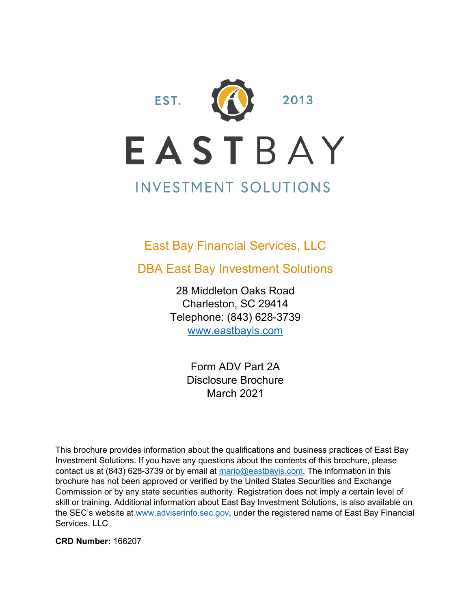

#### East Bay Financial Services, LLC

DBA East Bay Investment Solutions

28 Middleton Oaks Road Charleston, SC 29414 Telephone: (843) 628-3739 [www.eastbayis.com](http://www.eastbayis.com/)

> Form ADV Part 2A Disclosure Brochure March 2021

This brochure provides information about the qualifications and business practices of East Bay Investment Solutions. If you have any questions about the contents of this brochure, please contact us at (843) 628-3739 or by email at [mario@eastbayis.com.](mailto:mario@eastbayis.com) The information in this brochure has not been approved or verified by the United States Securities and Exchange Commission or by any state securities authority. Registration does not imply a certain level of skill or training. Additional information about East Bay Investment Solutions, is also available on the SEC's website at [www.adviserinfo.sec.gov,](http://www.adviserinfo.sec.gov/) under the registered name of East Bay Financial Services, LLC

**CRD Number:** 166207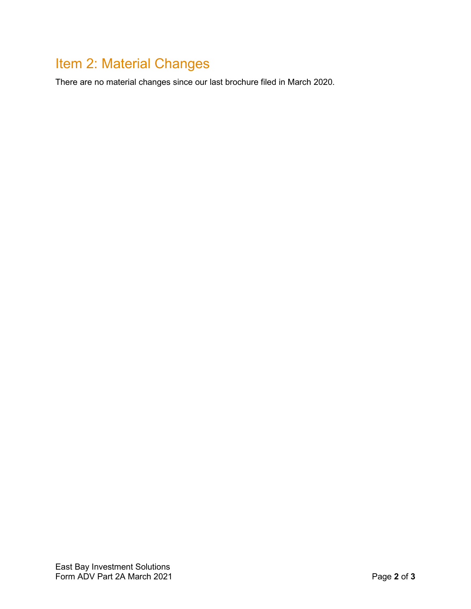# <span id="page-1-0"></span>Item 2: Material Changes

There are no material changes since our last brochure filed in March 2020.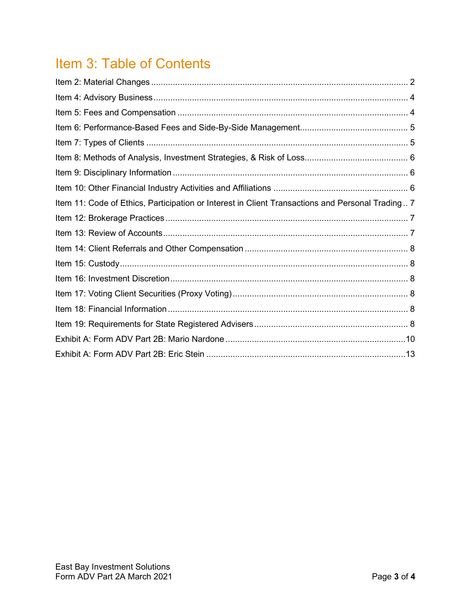# Item 3: Table of Contents

| Item 11: Code of Ethics, Participation or Interest in Client Transactions and Personal Trading 7 |  |
|--------------------------------------------------------------------------------------------------|--|
|                                                                                                  |  |
|                                                                                                  |  |
|                                                                                                  |  |
|                                                                                                  |  |
|                                                                                                  |  |
|                                                                                                  |  |
|                                                                                                  |  |
|                                                                                                  |  |
|                                                                                                  |  |
|                                                                                                  |  |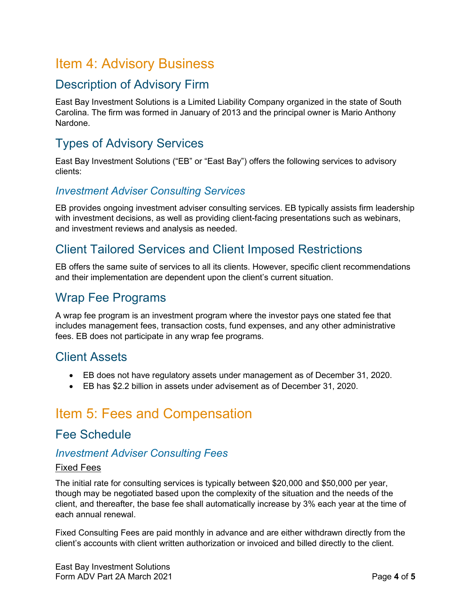## <span id="page-3-0"></span>Item 4: Advisory Business

#### Description of Advisory Firm

East Bay Investment Solutions is a Limited Liability Company organized in the state of South Carolina. The firm was formed in January of 2013 and the principal owner is Mario Anthony Nardone.

## Types of Advisory Services

East Bay Investment Solutions ("EB" or "East Bay") offers the following services to advisory clients:

#### *Investment Adviser Consulting Services*

EB provides ongoing investment adviser consulting services. EB typically assists firm leadership with investment decisions, as well as providing client-facing presentations such as webinars, and investment reviews and analysis as needed.

#### Client Tailored Services and Client Imposed Restrictions

EB offers the same suite of services to all its clients. However, specific client recommendations and their implementation are dependent upon the client's current situation.

#### Wrap Fee Programs

A wrap fee program is an investment program where the investor pays one stated fee that includes management fees, transaction costs, fund expenses, and any other administrative fees. EB does not participate in any wrap fee programs.

#### Client Assets

- EB does not have regulatory assets under management as of December 31, 2020.
- EB has \$2.2 billion in assets under advisement as of December 31, 2020.

## <span id="page-3-1"></span>Item 5: Fees and Compensation

#### Fee Schedule

#### *Investment Adviser Consulting Fees*

#### Fixed Fees

The initial rate for consulting services is typically between \$20,000 and \$50,000 per year, though may be negotiated based upon the complexity of the situation and the needs of the client, and thereafter, the base fee shall automatically increase by 3% each year at the time of each annual renewal.

Fixed Consulting Fees are paid monthly in advance and are either withdrawn directly from the client's accounts with client written authorization or invoiced and billed directly to the client.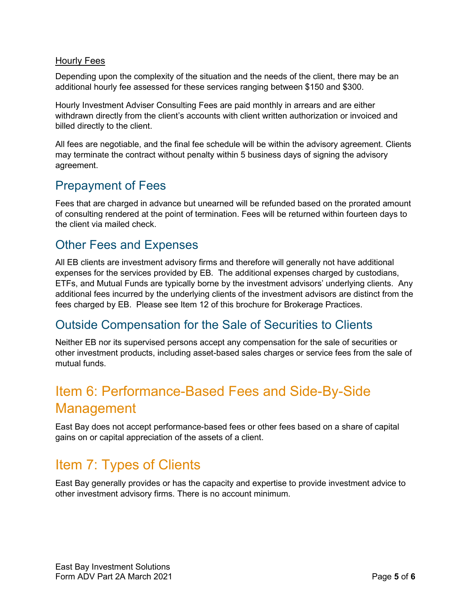#### Hourly Fees

Depending upon the complexity of the situation and the needs of the client, there may be an additional hourly fee assessed for these services ranging between \$150 and \$300.

Hourly Investment Adviser Consulting Fees are paid monthly in arrears and are either withdrawn directly from the client's accounts with client written authorization or invoiced and billed directly to the client.

All fees are negotiable, and the final fee schedule will be within the advisory agreement. Clients may terminate the contract without penalty within 5 business days of signing the advisory agreement.

#### Prepayment of Fees

Fees that are charged in advance but unearned will be refunded based on the prorated amount of consulting rendered at the point of termination. Fees will be returned within fourteen days to the client via mailed check.

#### Other Fees and Expenses

All EB clients are investment advisory firms and therefore will generally not have additional expenses for the services provided by EB. The additional expenses charged by custodians, ETFs, and Mutual Funds are typically borne by the investment advisors' underlying clients. Any additional fees incurred by the underlying clients of the investment advisors are distinct from the fees charged by EB. Please see Item 12 of this brochure for Brokerage Practices.

#### Outside Compensation for the Sale of Securities to Clients

Neither EB nor its supervised persons accept any compensation for the sale of securities or other investment products, including asset-based sales charges or service fees from the sale of mutual funds.

# <span id="page-4-0"></span>Item 6: Performance-Based Fees and Side-By-Side Management

East Bay does not accept performance-based fees or other fees based on a share of capital gains on or capital appreciation of the assets of a client.

# <span id="page-4-1"></span>Item 7: Types of Clients

East Bay generally provides or has the capacity and expertise to provide investment advice to other investment advisory firms. There is no account minimum.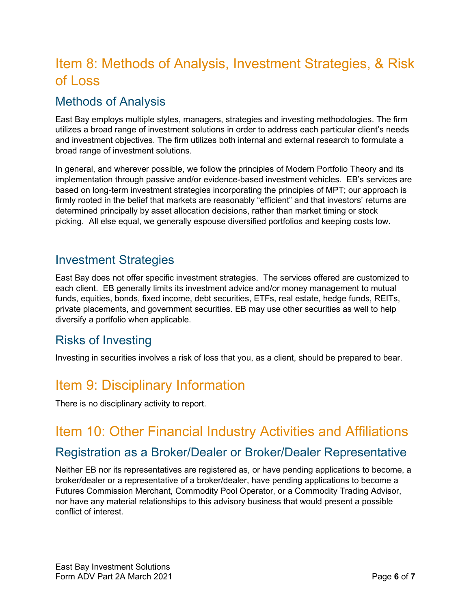# <span id="page-5-0"></span>Item 8: Methods of Analysis, Investment Strategies, & Risk of Loss

## Methods of Analysis

East Bay employs multiple styles, managers, strategies and investing methodologies. The firm utilizes a broad range of investment solutions in order to address each particular client's needs and investment objectives. The firm utilizes both internal and external research to formulate a broad range of investment solutions.

In general, and wherever possible, we follow the principles of Modern Portfolio Theory and its implementation through passive and/or evidence-based investment vehicles. EB's services are based on long-term investment strategies incorporating the principles of MPT; our approach is firmly rooted in the belief that markets are reasonably "efficient" and that investors' returns are determined principally by asset allocation decisions, rather than market timing or stock picking. All else equal, we generally espouse diversified portfolios and keeping costs low.

#### Investment Strategies

East Bay does not offer specific investment strategies. The services offered are customized to each client. EB generally limits its investment advice and/or money management to mutual funds, equities, bonds, fixed income, debt securities, ETFs, real estate, hedge funds, REITs, private placements, and government securities. EB may use other securities as well to help diversify a portfolio when applicable.

#### Risks of Investing

Investing in securities involves a risk of loss that you, as a client, should be prepared to bear.

# <span id="page-5-1"></span>Item 9: Disciplinary Information

There is no disciplinary activity to report.

## <span id="page-5-2"></span>Item 10: Other Financial Industry Activities and Affiliations

#### Registration as a Broker/Dealer or Broker/Dealer Representative

Neither EB nor its representatives are registered as, or have pending applications to become, a broker/dealer or a representative of a broker/dealer, have pending applications to become a Futures Commission Merchant, Commodity Pool Operator, or a Commodity Trading Advisor, nor have any material relationships to this advisory business that would present a possible conflict of interest.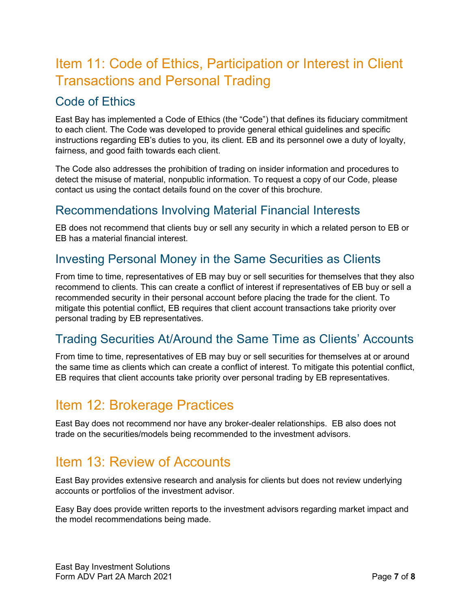# <span id="page-6-0"></span>Item 11: Code of Ethics, Participation or Interest in Client Transactions and Personal Trading

## Code of Ethics

East Bay has implemented a Code of Ethics (the "Code") that defines its fiduciary commitment to each client. The Code was developed to provide general ethical guidelines and specific instructions regarding EB's duties to you, its client. EB and its personnel owe a duty of loyalty, fairness, and good faith towards each client.

The Code also addresses the prohibition of trading on insider information and procedures to detect the misuse of material, nonpublic information. To request a copy of our Code, please contact us using the contact details found on the cover of this brochure.

## Recommendations Involving Material Financial Interests

EB does not recommend that clients buy or sell any security in which a related person to EB or EB has a material financial interest.

## Investing Personal Money in the Same Securities as Clients

From time to time, representatives of EB may buy or sell securities for themselves that they also recommend to clients. This can create a conflict of interest if representatives of EB buy or sell a recommended security in their personal account before placing the trade for the client. To mitigate this potential conflict, EB requires that client account transactions take priority over personal trading by EB representatives.

## Trading Securities At/Around the Same Time as Clients' Accounts

From time to time, representatives of EB may buy or sell securities for themselves at or around the same time as clients which can create a conflict of interest. To mitigate this potential conflict, EB requires that client accounts take priority over personal trading by EB representatives.

## <span id="page-6-1"></span>Item 12: Brokerage Practices

East Bay does not recommend nor have any broker-dealer relationships. EB also does not trade on the securities/models being recommended to the investment advisors.

# <span id="page-6-2"></span>Item 13: Review of Accounts

East Bay provides extensive research and analysis for clients but does not review underlying accounts or portfolios of the investment advisor.

Easy Bay does provide written reports to the investment advisors regarding market impact and the model recommendations being made.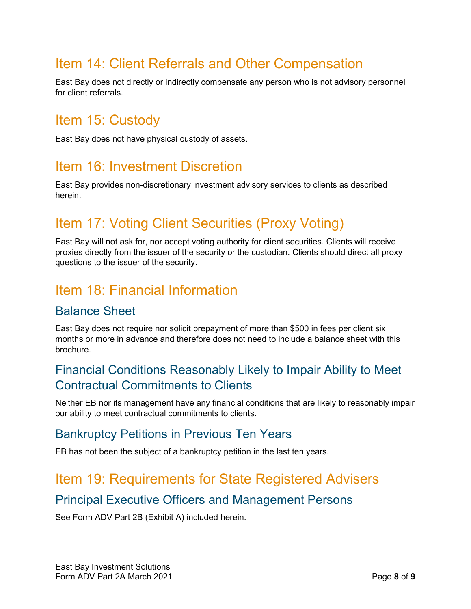# <span id="page-7-0"></span>Item 14: Client Referrals and Other Compensation

East Bay does not directly or indirectly compensate any person who is not advisory personnel for client referrals.

## <span id="page-7-1"></span>Item 15: Custody

East Bay does not have physical custody of assets.

## <span id="page-7-2"></span>Item 16: Investment Discretion

East Bay provides non-discretionary investment advisory services to clients as described herein.

# <span id="page-7-3"></span>Item 17: Voting Client Securities (Proxy Voting)

East Bay will not ask for, nor accept voting authority for client securities. Clients will receive proxies directly from the issuer of the security or the custodian. Clients should direct all proxy questions to the issuer of the security.

## <span id="page-7-4"></span>Item 18: Financial Information

#### Balance Sheet

East Bay does not require nor solicit prepayment of more than \$500 in fees per client six months or more in advance and therefore does not need to include a balance sheet with this brochure.

#### Financial Conditions Reasonably Likely to Impair Ability to Meet Contractual Commitments to Clients

Neither EB nor its management have any financial conditions that are likely to reasonably impair our ability to meet contractual commitments to clients.

#### Bankruptcy Petitions in Previous Ten Years

EB has not been the subject of a bankruptcy petition in the last ten years.

## <span id="page-7-5"></span>Item 19: Requirements for State Registered Advisers

#### Principal Executive Officers and Management Persons

See Form ADV Part 2B (Exhibit A) included herein.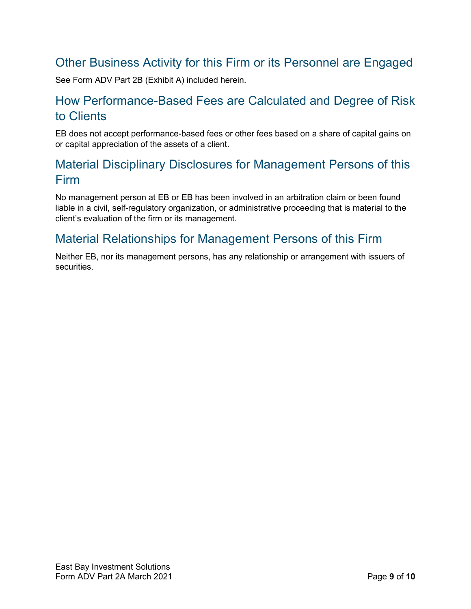## Other Business Activity for this Firm or its Personnel are Engaged

See Form ADV Part 2B (Exhibit A) included herein.

#### How Performance-Based Fees are Calculated and Degree of Risk to Clients

EB does not accept performance-based fees or other fees based on a share of capital gains on or capital appreciation of the assets of a client.

## Material Disciplinary Disclosures for Management Persons of this Firm

No management person at EB or EB has been involved in an arbitration claim or been found liable in a civil, self-regulatory organization, or administrative proceeding that is material to the client's evaluation of the firm or its management.

#### Material Relationships for Management Persons of this Firm

Neither EB, nor its management persons, has any relationship or arrangement with issuers of securities.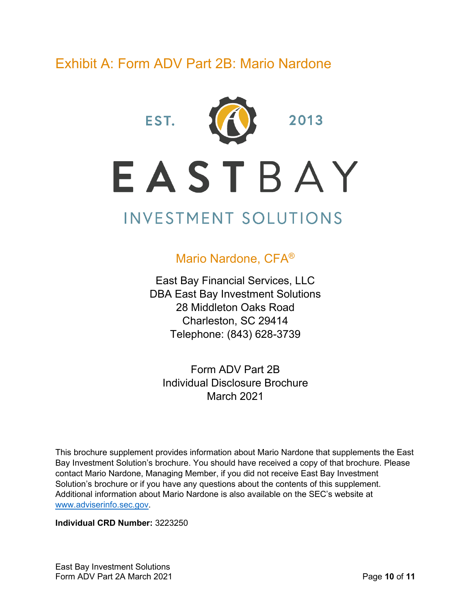# <span id="page-9-0"></span>Exhibit A: Form ADV Part 2B: Mario Nardone

EST.



2013

EASTBAY

# **INVESTMENT SOLUTIONS**

#### Mario Nardone, CFA®

East Bay Financial Services, LLC DBA East Bay Investment Solutions 28 Middleton Oaks Road Charleston, SC 29414 Telephone: (843) 628-3739

Form ADV Part 2B Individual Disclosure Brochure March 2021

This brochure supplement provides information about Mario Nardone that supplements the East Bay Investment Solution's brochure. You should have received a copy of that brochure. Please contact Mario Nardone, Managing Member, if you did not receive East Bay Investment Solution's brochure or if you have any questions about the contents of this supplement. Additional information about Mario Nardone is also available on the SEC's website at [www.adviserinfo.sec.gov.](http://www.adviserinfo.sec.gov/)

**Individual CRD Number:** 3223250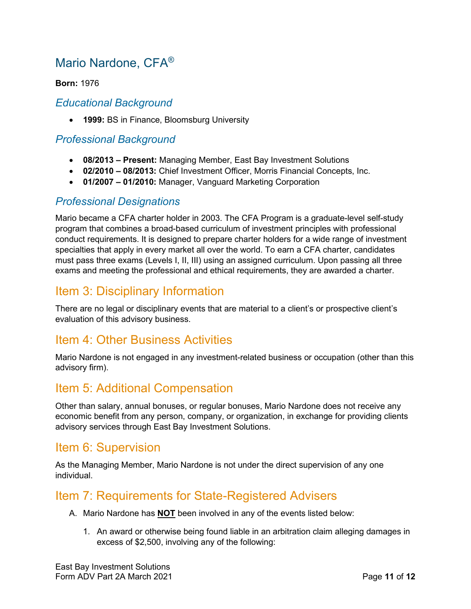## Mario Nardone, CFA®

#### **Born:** 1976

#### *Educational Background*

• **1999:** BS in Finance, Bloomsburg University

#### *Professional Background*

- **08/2013 – Present:** Managing Member, East Bay Investment Solutions
- **02/2010 – 08/2013:** Chief Investment Officer, Morris Financial Concepts, Inc.
- **01/2007 – 01/2010:** Manager, Vanguard Marketing Corporation

#### *Professional Designations*

Mario became a CFA charter holder in 2003. The CFA Program is a graduate-level self-study program that combines a broad-based curriculum of investment principles with professional conduct requirements. It is designed to prepare charter holders for a wide range of investment specialties that apply in every market all over the world. To earn a CFA charter, candidates must pass three exams (Levels I, II, III) using an assigned curriculum. Upon passing all three exams and meeting the professional and ethical requirements, they are awarded a charter.

#### Item 3: Disciplinary Information

There are no legal or disciplinary events that are material to a client's or prospective client's evaluation of this advisory business.

#### Item 4: Other Business Activities

Mario Nardone is not engaged in any investment-related business or occupation (other than this advisory firm).

#### Item 5: Additional Compensation

Other than salary, annual bonuses, or regular bonuses, Mario Nardone does not receive any economic benefit from any person, company, or organization, in exchange for providing clients advisory services through East Bay Investment Solutions.

#### Item 6: Supervision

As the Managing Member, Mario Nardone is not under the direct supervision of any one individual.

#### Item 7: Requirements for State-Registered Advisers

- A. Mario Nardone has **NOT** been involved in any of the events listed below:
	- 1. An award or otherwise being found liable in an arbitration claim alleging damages in excess of \$2,500, involving any of the following: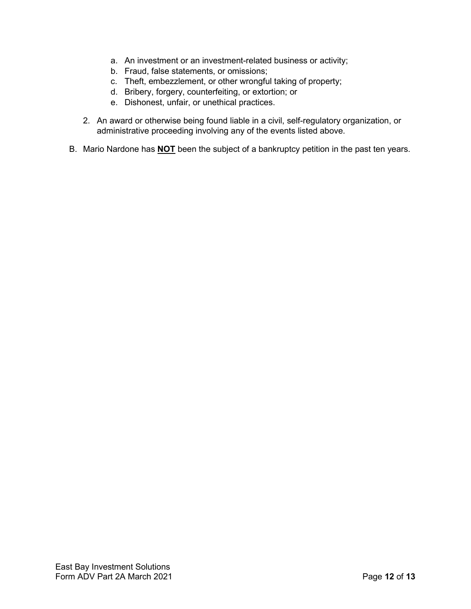- a. An investment or an investment-related business or activity;
- b. Fraud, false statements, or omissions;
- c. Theft, embezzlement, or other wrongful taking of property;
- d. Bribery, forgery, counterfeiting, or extortion; or
- e. Dishonest, unfair, or unethical practices.
- 2. An award or otherwise being found liable in a civil, self-regulatory organization, or administrative proceeding involving any of the events listed above.
- B. Mario Nardone has **NOT** been the subject of a bankruptcy petition in the past ten years.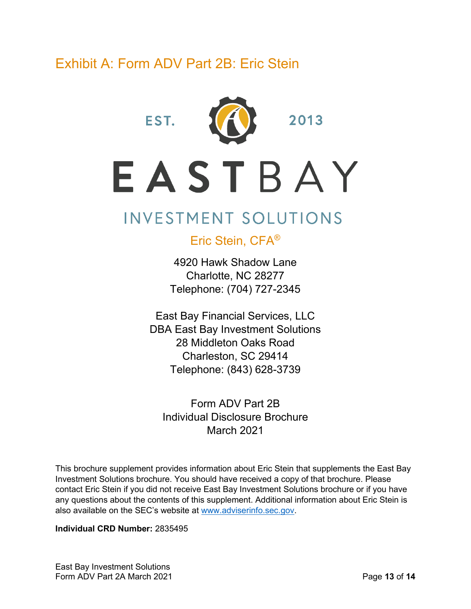# <span id="page-12-0"></span>Exhibit A: Form ADV Part 2B: Eric Stein



2013

# EASTBAY

# **INVESTMENT SOLUTIONS**

Eric Stein, CFA®

4920 Hawk Shadow Lane Charlotte, NC 28277 Telephone: (704) 727-2345

East Bay Financial Services, LLC DBA East Bay Investment Solutions 28 Middleton Oaks Road Charleston, SC 29414 Telephone: (843) 628-3739

Form ADV Part 2B Individual Disclosure Brochure March 2021

This brochure supplement provides information about Eric Stein that supplements the East Bay Investment Solutions brochure. You should have received a copy of that brochure. Please contact Eric Stein if you did not receive East Bay Investment Solutions brochure or if you have any questions about the contents of this supplement. Additional information about Eric Stein is also available on the SEC's website at [www.adviserinfo.sec.gov.](http://www.adviserinfo.sec.gov/)

**Individual CRD Number:** 2835495

East Bay Investment Solutions Form ADV Part 2A March 2021 **Page 13** of **14**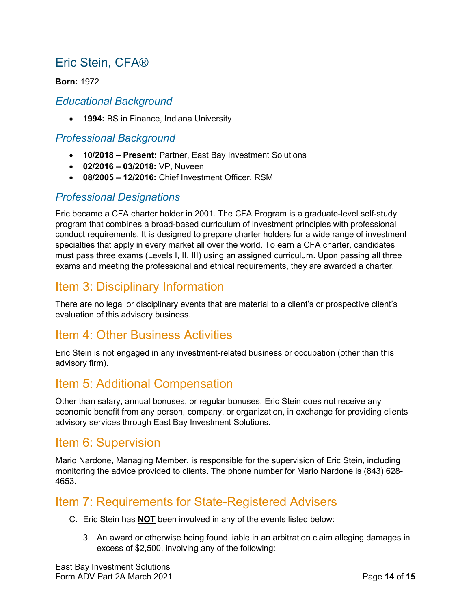## Eric Stein, CFA®

**Born:** 1972

#### *Educational Background*

• **1994:** BS in Finance, Indiana University

#### *Professional Background*

- **10/2018 – Present:** Partner, East Bay Investment Solutions
- **02/2016 – 03/2018:** VP, Nuveen
- **08/2005 – 12/2016:** Chief Investment Officer, RSM

#### *Professional Designations*

Eric became a CFA charter holder in 2001. The CFA Program is a graduate-level self-study program that combines a broad-based curriculum of investment principles with professional conduct requirements. It is designed to prepare charter holders for a wide range of investment specialties that apply in every market all over the world. To earn a CFA charter, candidates must pass three exams (Levels I, II, III) using an assigned curriculum. Upon passing all three exams and meeting the professional and ethical requirements, they are awarded a charter.

#### Item 3: Disciplinary Information

There are no legal or disciplinary events that are material to a client's or prospective client's evaluation of this advisory business.

#### Item 4: Other Business Activities

Eric Stein is not engaged in any investment-related business or occupation (other than this advisory firm).

#### Item 5: Additional Compensation

Other than salary, annual bonuses, or regular bonuses, Eric Stein does not receive any economic benefit from any person, company, or organization, in exchange for providing clients advisory services through East Bay Investment Solutions.

#### Item 6: Supervision

Mario Nardone, Managing Member, is responsible for the supervision of Eric Stein, including monitoring the advice provided to clients. The phone number for Mario Nardone is (843) 628- 4653.

#### Item 7: Requirements for State-Registered Advisers

- C. Eric Stein has **NOT** been involved in any of the events listed below:
	- 3. An award or otherwise being found liable in an arbitration claim alleging damages in excess of \$2,500, involving any of the following: